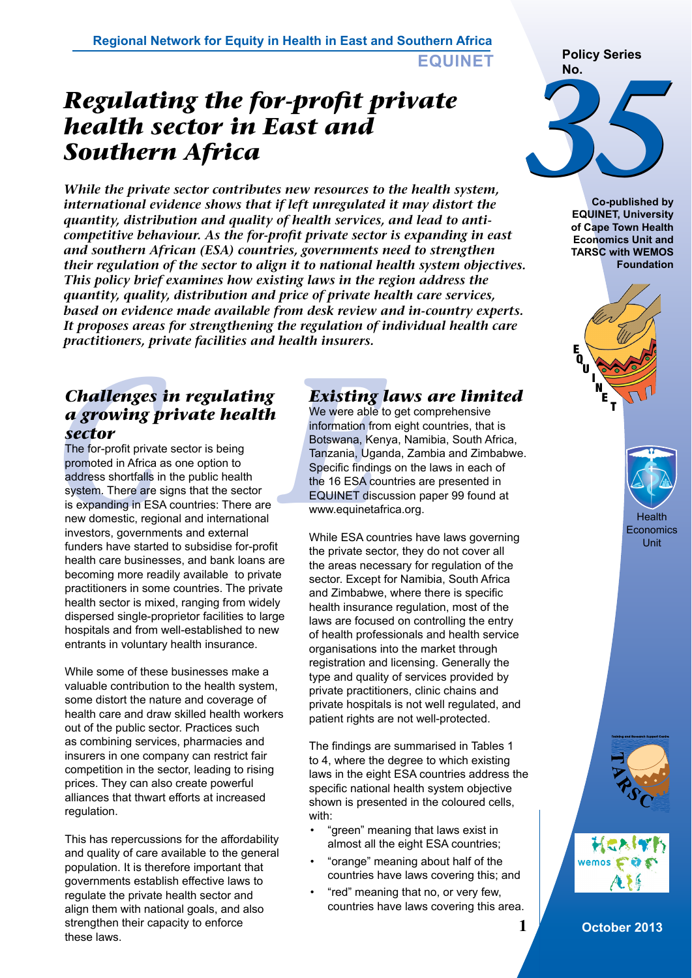# *Regulating the for-profit private health sector in East and Southern Africa*

*While the private sector contributes new resources to the health system, international evidence shows that if left unregulated it may distort the quantity, distribution and quality of health services, and lead to anticompetitive behaviour. As the for-profit private sector is expanding in east and southern African (ESA) countries, governments need to strengthen their regulation of the sector to align it to national health system objectives. This policy brief examines how existing laws in the region address the quantity, quality, distribution and price of private health care services, based on evidence made available from desk review and in-country experts. It proposes areas for strengthening the regulation of individual health care practitioners, private facilities and health insurers.* 

# *Challenges in regulating a growing private health sector*

**Challenges in regulating**<br> **Challenges in regulating**<br> **Challenges in regulating**<br> **Challenges in regulating**<br> **Challenges in the Sector**<br> **Challenges in the Sector**<br> **Challenges in the Sector**<br> **Challenges information** f The for-profit private sector is being promoted in Africa as one option to address shortfalls in the public health system. There are signs that the sector is expanding in ESA countries: There are new domestic, regional and international investors, governments and external funders have started to subsidise for-profit health care businesses, and bank loans are becoming more readily available to private practitioners in some countries. The private health sector is mixed, ranging from widely dispersed single-proprietor facilities to large hospitals and from well-established to new entrants in voluntary health insurance.

While some of these businesses make a valuable contribution to the health system, some distort the nature and coverage of health care and draw skilled health workers out of the public sector. Practices such as combining services, pharmacies and insurers in one company can restrict fair competition in the sector, leading to rising prices. They can also create powerful alliances that thwart efforts at increased regulation.

This has repercussions for the affordability and quality of care available to the general population. It is therefore important that governments establish effective laws to regulate the private health sector and align them with national goals, and also strengthen their capacity to enforce these laws.

# *Existing laws are limited*

We were able to get comprehensive information from eight countries, that is Botswana, Kenya, Namibia, South Africa, Tanzania, Uganda, Zambia and Zimbabwe. Specific findings on the laws in each of the 16 ESA countries are presented in EQUINET discussion paper 99 found at www.equinetafrica.org.

While ESA countries have laws governing the private sector, they do not cover all the areas necessary for regulation of the sector. Except for Namibia, South Africa and Zimbabwe, where there is specific health insurance regulation, most of the laws are focused on controlling the entry of health professionals and health service organisations into the market through registration and licensing. Generally the type and quality of services provided by private practitioners, clinic chains and private hospitals is not well regulated, and patient rights are not well-protected.

The findings are summarised in Tables 1 to 4, where the degree to which existing laws in the eight ESA countries address the specific national health system objective shown is presented in the coloured cells, with:

- "green" meaning that laws exist in almost all the eight ESA countries;
- "orange" meaning about half of the countries have laws covering this; and
- "red" meaning that no, or very few, countries have laws covering this area.





**Co-published by EQUINET, University of Cape Town Health Economics Unit and TARSC with WEMOS Foundation**





Unit



**1 October 2013**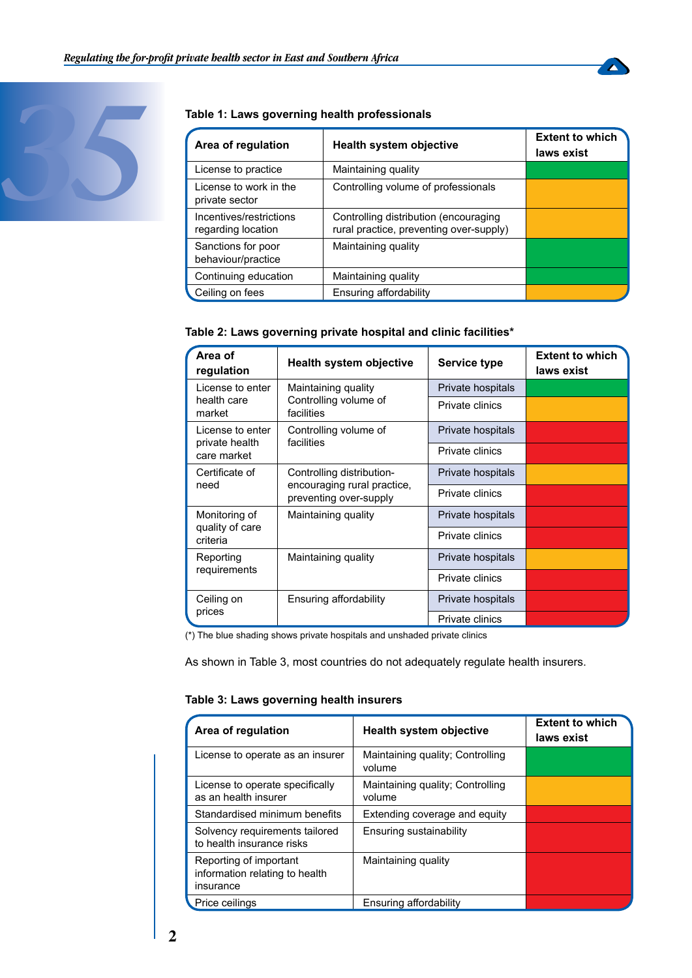



| Area of regulation                            | <b>Health system objective</b>                                                   | <b>Extent to which</b><br>laws exist |
|-----------------------------------------------|----------------------------------------------------------------------------------|--------------------------------------|
| License to practice                           | Maintaining quality                                                              |                                      |
| License to work in the<br>private sector      | Controlling volume of professionals                                              |                                      |
| Incentives/restrictions<br>regarding location | Controlling distribution (encouraging<br>rural practice, preventing over-supply) |                                      |
| Sanctions for poor<br>behaviour/practice      | Maintaining quality                                                              |                                      |
| Continuing education                          | Maintaining quality                                                              |                                      |
| Ceiling on fees                               | Ensuring affordability                                                           |                                      |

#### **Table 2: Laws governing private hospital and clinic facilities\***

| Area of<br>regulation                                               | <b>Health system objective</b>                                                     | Service type      | <b>Extent to which</b><br>laws exist |
|---------------------------------------------------------------------|------------------------------------------------------------------------------------|-------------------|--------------------------------------|
| License to enter                                                    | Maintaining quality<br>Controlling volume of<br>facilities                         | Private hospitals |                                      |
| health care<br>market                                               |                                                                                    | Private clinics   |                                      |
| License to enter                                                    | Controlling volume of<br>facilities<br>private health                              | Private hospitals |                                      |
| care market                                                         |                                                                                    | Private clinics   |                                      |
| Certificate of<br>need                                              | Controlling distribution-<br>encouraging rural practice,<br>preventing over-supply | Private hospitals |                                      |
|                                                                     |                                                                                    | Private clinics   |                                      |
| Monitoring of<br>Maintaining quality<br>quality of care<br>criteria | Private hospitals                                                                  |                   |                                      |
|                                                                     |                                                                                    | Private clinics   |                                      |
| Reporting<br>requirements                                           | Maintaining quality                                                                | Private hospitals |                                      |
|                                                                     |                                                                                    | Private clinics   |                                      |
| Ceiling on<br>prices                                                | Ensuring affordability                                                             | Private hospitals |                                      |
|                                                                     |                                                                                    | Private clinics   |                                      |

(\*) The blue shading shows private hospitals and unshaded private clinics

As shown in Table 3, most countries do not adequately regulate health insurers.

#### **Table 3: Laws governing health insurers**

| Area of regulation                                                    | <b>Health system objective</b>             | <b>Extent to which</b><br>laws exist |
|-----------------------------------------------------------------------|--------------------------------------------|--------------------------------------|
| License to operate as an insurer                                      | Maintaining quality; Controlling<br>volume |                                      |
| License to operate specifically<br>as an health insurer               | Maintaining quality; Controlling<br>volume |                                      |
| Standardised minimum benefits                                         | Extending coverage and equity              |                                      |
| Solvency requirements tailored<br>to health insurance risks           | Ensuring sustainability                    |                                      |
| Reporting of important<br>information relating to health<br>insurance | Maintaining quality                        |                                      |
| Price ceilings                                                        | Ensuring affordability                     |                                      |

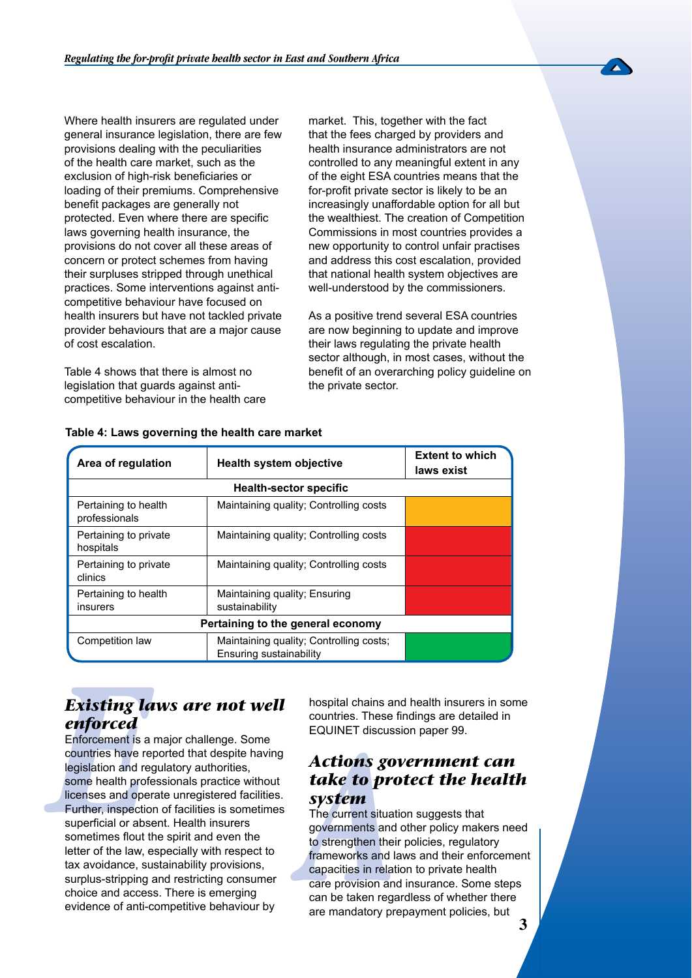Where health insurers are regulated under general insurance legislation, there are few provisions dealing with the peculiarities of the health care market, such as the exclusion of high-risk beneficiaries or loading of their premiums. Comprehensive benefit packages are generally not protected. Even where there are specific laws governing health insurance, the provisions do not cover all these areas of concern or protect schemes from having their surpluses stripped through unethical practices. Some interventions against anticompetitive behaviour have focused on health insurers but have not tackled private provider behaviours that are a major cause of cost escalation.

Table 4 shows that there is almost no legislation that guards against anticompetitive behaviour in the health care market. This, together with the fact that the fees charged by providers and health insurance administrators are not controlled to any meaningful extent in any of the eight ESA countries means that the for-profit private sector is likely to be an increasingly unaffordable option for all but the wealthiest. The creation of Competition Commissions in most countries provides a new opportunity to control unfair practises and address this cost escalation, provided that national health system objectives are well-understood by the commissioners.

As a positive trend several ESA countries are now beginning to update and improve their laws regulating the private health sector although, in most cases, without the benefit of an overarching policy guideline on the private sector.

| Area of regulation                    | Health system objective                                            | <b>Extent to which</b><br>laws exist |  |  |
|---------------------------------------|--------------------------------------------------------------------|--------------------------------------|--|--|
| <b>Health-sector specific</b>         |                                                                    |                                      |  |  |
| Pertaining to health<br>professionals | Maintaining quality; Controlling costs                             |                                      |  |  |
| Pertaining to private<br>hospitals    | Maintaining quality; Controlling costs                             |                                      |  |  |
| Pertaining to private<br>clinics      | Maintaining quality; Controlling costs                             |                                      |  |  |
| Pertaining to health<br>insurers      | Maintaining quality; Ensuring<br>sustainability                    |                                      |  |  |
| Pertaining to the general economy     |                                                                    |                                      |  |  |
| Competition law                       | Maintaining quality; Controlling costs;<br>Ensuring sustainability |                                      |  |  |

#### **Table 4: Laws governing the health care market**

### *Existing laws are not well enforced*

**Existing laws are not well**<br> **Existing laws are not well**<br>
Enforced<br>
Enforcement is a major challenge. Some<br>
countries. These<br>
countries have reported that despite having<br>
legislation and regulatory authorities,<br>
some hea Enforcement is a major challenge. Some countries have reported that despite having legislation and regulatory authorities, some health professionals practice without licenses and operate unregistered facilities. Further, inspection of facilities is sometimes superficial or absent. Health insurers sometimes flout the spirit and even the letter of the law, especially with respect to tax avoidance, sustainability provisions, surplus-stripping and restricting consumer choice and access. There is emerging evidence of anti-competitive behaviour by

hospital chains and health insurers in some countries. These findings are detailed in EQUINET discussion paper 99.

### *Actions government can take to protect the health system*

The current situation suggests that governments and other policy makers need to strengthen their policies, regulatory frameworks and laws and their enforcement capacities in relation to private health care provision and insurance. Some steps can be taken regardless of whether there are mandatory prepayment policies, but